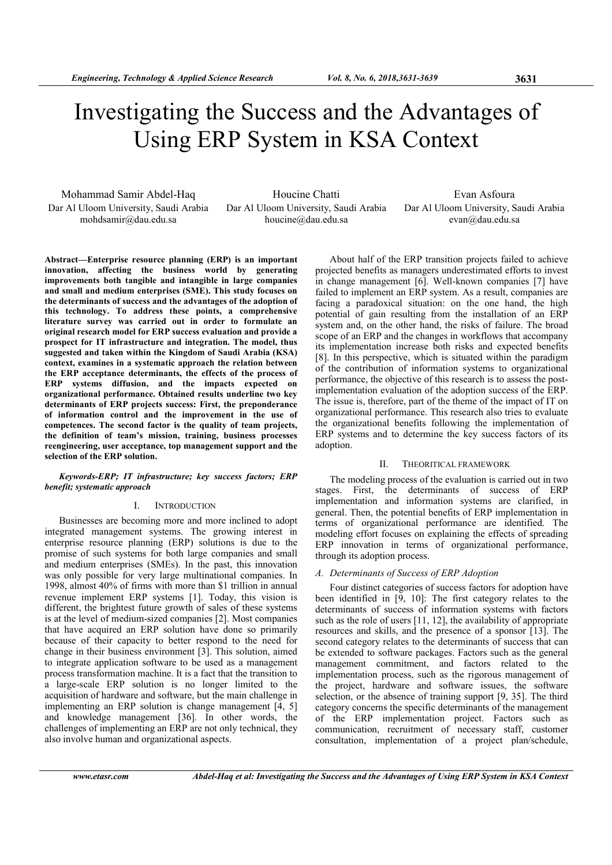# Investigating the Success and the Advantages of Using ERP System in KSA Context

Mohammad Samir Abdel-Haq Dar Al Uloom University, Saudi Arabia mohdsamir@dau.edu.sa

Houcine Chatti Dar Al Uloom University, Saudi Arabia houcine@dau.edu.sa

Evan Asfoura Dar Al Uloom University, Saudi Arabia evan@dau.edu.sa

Abstract—Enterprise resource planning (ERP) is an important innovation, affecting the business world by generating improvements both tangible and intangible in large companies and small and medium enterprises (SME). This study focuses on the determinants of success and the advantages of the adoption of this technology. To address these points, a comprehensive literature survey was carried out in order to formulate an original research model for ERP success evaluation and provide a prospect for IT infrastructure and integration. The model, thus suggested and taken within the Kingdom of Saudi Arabia (KSA) context, examines in a systematic approach the relation between the ERP acceptance determinants, the effects of the process of ERP systems diffusion, and the impacts expected on organizational performance. Obtained results underline two key determinants of ERP projects success: First, the preponderance of information control and the improvement in the use of competences. The second factor is the quality of team projects, the definition of team's mission, training, business processes reengineering, user acceptance, top management support and the selection of the ERP solution.

# Keywords-ERP; IT infrastructure; key success factors; ERP benefit; systematic approach

#### I. INTRODUCTION

Businesses are becoming more and more inclined to adopt integrated management systems. The growing interest in enterprise resource planning (ERP) solutions is due to the promise of such systems for both large companies and small and medium enterprises (SMEs). In the past, this innovation was only possible for very large multinational companies. In 1998, almost 40% of firms with more than \$1 trillion in annual revenue implement ERP systems [1]. Today, this vision is different, the brightest future growth of sales of these systems is at the level of medium-sized companies [2]. Most companies that have acquired an ERP solution have done so primarily because of their capacity to better respond to the need for change in their business environment [3]. This solution, aimed to integrate application software to be used as a management process transformation machine. It is a fact that the transition to a large-scale ERP solution is no longer limited to the acquisition of hardware and software, but the main challenge in implementing an ERP solution is change management [4, 5] and knowledge management [36]. In other words, the challenges of implementing an ERP are not only technical, they also involve human and organizational aspects.

About half of the ERP transition projects failed to achieve projected benefits as managers underestimated efforts to invest in change management [6]. Well-known companies [7] have failed to implement an ERP system. As a result, companies are facing a paradoxical situation: on the one hand, the high potential of gain resulting from the installation of an ERP system and, on the other hand, the risks of failure. The broad scope of an ERP and the changes in workflows that accompany its implementation increase both risks and expected benefits [8]. In this perspective, which is situated within the paradigm of the contribution of information systems to organizational performance, the objective of this research is to assess the postimplementation evaluation of the adoption success of the ERP. The issue is, therefore, part of the theme of the impact of IT on organizational performance. This research also tries to evaluate the organizational benefits following the implementation of ERP systems and to determine the key success factors of its adoption.

## II. THEORITICAL FRAMEWORK

The modeling process of the evaluation is carried out in two stages. First, the determinants of success of ERP implementation and information systems are clarified, in general. Then, the potential benefits of ERP implementation in terms of organizational performance are identified. The modeling effort focuses on explaining the effects of spreading ERP innovation in terms of organizational performance, through its adoption process.

# A. Determinants of Success of ERP Adoption

Four distinct categories of success factors for adoption have been identified in [9, 10]: The first category relates to the determinants of success of information systems with factors such as the role of users [11, 12], the availability of appropriate resources and skills, and the presence of a sponsor [13]. The second category relates to the determinants of success that can be extended to software packages. Factors such as the general management commitment, and factors related to the implementation process, such as the rigorous management of the project, hardware and software issues, the software selection, or the absence of training support [9, 35]. The third category concerns the specific determinants of the management of the ERP implementation project. Factors such as communication, recruitment of necessary staff, customer consultation, implementation of a project plan/schedule,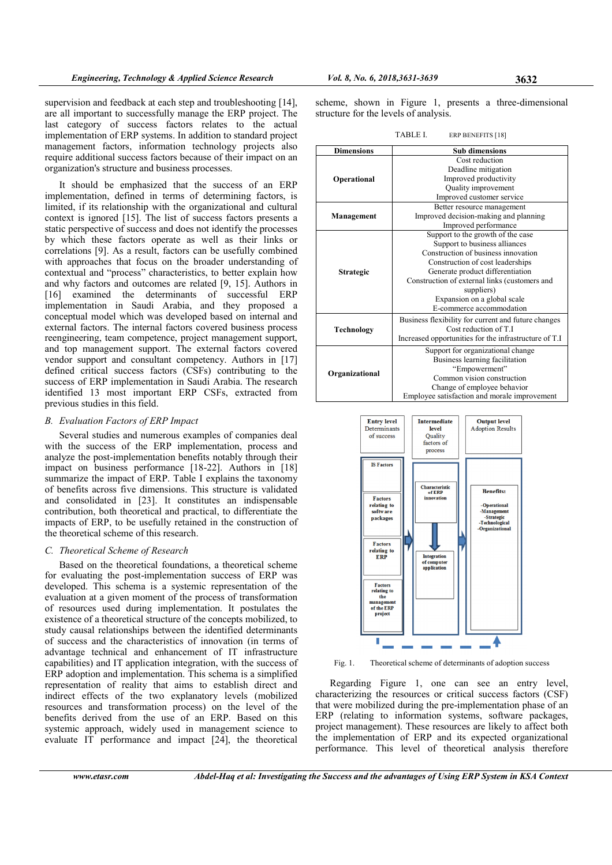supervision and feedback at each step and troubleshooting [14], are all important to successfully manage the ERP project. The last category of success factors relates to the actual implementation of ERP systems. In addition to standard project management factors, information technology projects also require additional success factors because of their impact on an organization's structure and business processes.

It should be emphasized that the success of an ERP implementation, defined in terms of determining factors, is limited, if its relationship with the organizational and cultural context is ignored [15]. The list of success factors presents a static perspective of success and does not identify the processes by which these factors operate as well as their links or correlations [9]. As a result, factors can be usefully combined with approaches that focus on the broader understanding of contextual and "process" characteristics, to better explain how and why factors and outcomes are related [9, 15]. Authors in [16] examined the determinants of successful ERP implementation in Saudi Arabia, and they proposed a conceptual model which was developed based on internal and external factors. The internal factors covered business process reengineering, team competence, project management support, and top management support. The external factors covered vendor support and consultant competency. Authors in [17] defined critical success factors (CSFs) contributing to the success of ERP implementation in Saudi Arabia. The research identified 13 most important ERP CSFs, extracted from previous studies in this field.

# B. Evaluation Factors of ERP Impact

Several studies and numerous examples of companies deal with the success of the ERP implementation, process and analyze the post-implementation benefits notably through their impact on business performance [18-22]. Authors in [18] summarize the impact of ERP. Table I explains the taxonomy of benefits across five dimensions. This structure is validated and consolidated in [23]. It constitutes an indispensable contribution, both theoretical and practical, to differentiate the impacts of ERP, to be usefully retained in the construction of the theoretical scheme of this research.

## C. Theoretical Scheme of Research

Based on the theoretical foundations, a theoretical scheme for evaluating the post-implementation success of ERP was developed. This schema is a systemic representation of the evaluation at a given moment of the process of transformation of resources used during implementation. It postulates the existence of a theoretical structure of the concepts mobilized, to study causal relationships between the identified determinants of success and the characteristics of innovation (in terms of advantage technical and enhancement of IT infrastructure capabilities) and IT application integration, with the success of ERP adoption and implementation. This schema is a simplified representation of reality that aims to establish direct and indirect effects of the two explanatory levels (mobilized resources and transformation process) on the level of the benefits derived from the use of an ERP. Based on this systemic approach, widely used in management science to evaluate IT performance and impact [24], the theoretical

scheme, shown in Figure 1, presents a three-dimensional structure for the levels of analysis.

| TABLE I. | ERP BENEFITS [18] |
|----------|-------------------|
|          |                   |

| <b>Dimensions</b> | <b>Sub dimensions</b>                                 |
|-------------------|-------------------------------------------------------|
| Operational       | Cost reduction                                        |
|                   | Deadline mitigation                                   |
|                   | Improved productivity                                 |
|                   | Quality improvement                                   |
|                   | Improved customer service                             |
|                   | Better resource management                            |
| Management        | Improved decision-making and planning                 |
|                   | Improved performance                                  |
| Strategic         | Support to the growth of the case                     |
|                   | Support to business alliances                         |
|                   | Construction of business innovation                   |
|                   | Construction of cost leaderships                      |
|                   | Generate product differentiation                      |
|                   | Construction of external links (customers and         |
|                   | suppliers)                                            |
|                   | Expansion on a global scale                           |
|                   | E-commerce accommodation                              |
|                   | Business flexibility for current and future changes   |
| Technology        | Cost reduction of T.I.                                |
|                   | Increased opportunities for the infrastructure of T.I |
|                   | Support for organizational change                     |
|                   | Business learning facilitation                        |
|                   | "Empowerment"                                         |
| Organizational    | Common vision construction                            |
|                   | Change of employee behavior                           |
|                   | Employee satisfaction and morale improvement          |



Fig. 1. Theoretical scheme of determinants of adoption success

Regarding Figure 1, one can see an entry level, characterizing the resources or critical success factors (CSF) that were mobilized during the pre-implementation phase of an ERP (relating to information systems, software packages, project management). These resources are likely to affect both the implementation of ERP and its expected organizational performance. This level of theoretical analysis therefore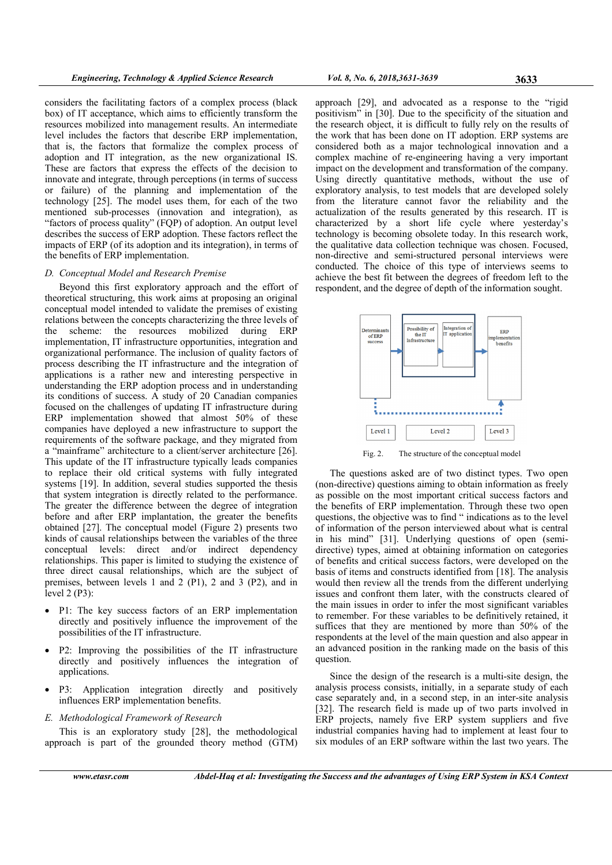considers the facilitating factors of a complex process (black box) of IT acceptance, which aims to efficiently transform the resources mobilized into management results. An intermediate level includes the factors that describe ERP implementation, that is, the factors that formalize the complex process of adoption and IT integration, as the new organizational IS. These are factors that express the effects of the decision to innovate and integrate, through perceptions (in terms of success or failure) of the planning and implementation of the technology [25]. The model uses them, for each of the two mentioned sub-processes (innovation and integration), as "factors of process quality" (FQP) of adoption. An output level describes the success of ERP adoption. These factors reflect the impacts of ERP (of its adoption and its integration), in terms of the benefits of ERP implementation.

#### D. Conceptual Model and Research Premise

Beyond this first exploratory approach and the effort of theoretical structuring, this work aims at proposing an original conceptual model intended to validate the premises of existing relations between the concepts characterizing the three levels of the scheme: the resources mobilized during ERP implementation, IT infrastructure opportunities, integration and organizational performance. The inclusion of quality factors of process describing the IT infrastructure and the integration of applications is a rather new and interesting perspective in understanding the ERP adoption process and in understanding its conditions of success. A study of 20 Canadian companies focused on the challenges of updating IT infrastructure during ERP implementation showed that almost 50% of these companies have deployed a new infrastructure to support the requirements of the software package, and they migrated from a "mainframe" architecture to a client/server architecture [26]. This update of the IT infrastructure typically leads companies to replace their old critical systems with fully integrated systems [19]. In addition, several studies supported the thesis that system integration is directly related to the performance. The greater the difference between the degree of integration before and after ERP implantation, the greater the benefits obtained [27]. The conceptual model (Figure 2) presents two kinds of causal relationships between the variables of the three conceptual levels: direct and/or indirect dependency relationships. This paper is limited to studying the existence of three direct causal relationships, which are the subject of premises, between levels 1 and 2 (P1), 2 and 3 (P2), and in level 2 (P3):

- P1: The key success factors of an ERP implementation directly and positively influence the improvement of the possibilities of the IT infrastructure.
- P2: Improving the possibilities of the IT infrastructure directly and positively influences the integration of applications.
- P3: Application integration directly and positively influences ERP implementation benefits.
- E. Methodological Framework of Research

This is an exploratory study [28], the methodological approach is part of the grounded theory method (GTM) approach [29], and advocated as a response to the "rigid positivism" in [30]. Due to the specificity of the situation and the research object, it is difficult to fully rely on the results of the work that has been done on IT adoption. ERP systems are considered both as a major technological innovation and a complex machine of re-engineering having a very important impact on the development and transformation of the company. Using directly quantitative methods, without the use of exploratory analysis, to test models that are developed solely from the literature cannot favor the reliability and the actualization of the results generated by this research. IT is characterized by a short life cycle where yesterday's technology is becoming obsolete today. In this research work, the qualitative data collection technique was chosen. Focused, non-directive and semi-structured personal interviews were conducted. The choice of this type of interviews seems to achieve the best fit between the degrees of freedom left to the respondent, and the degree of depth of the information sought.



Fig. 2. The structure of the conceptual model

The questions asked are of two distinct types. Two open (non-directive) questions aiming to obtain information as freely as possible on the most important critical success factors and the benefits of ERP implementation. Through these two open questions, the objective was to find " indications as to the level of information of the person interviewed about what is central in his mind" [31]. Underlying questions of open (semidirective) types, aimed at obtaining information on categories of benefits and critical success factors, were developed on the basis of items and constructs identified from [18]. The analysis would then review all the trends from the different underlying issues and confront them later, with the constructs cleared of the main issues in order to infer the most significant variables to remember. For these variables to be definitively retained, it suffices that they are mentioned by more than 50% of the respondents at the level of the main question and also appear in an advanced position in the ranking made on the basis of this question.

Since the design of the research is a multi-site design, the analysis process consists, initially, in a separate study of each case separately and, in a second step, in an inter-site analysis [32]. The research field is made up of two parts involved in ERP projects, namely five ERP system suppliers and five industrial companies having had to implement at least four to six modules of an ERP software within the last two years. The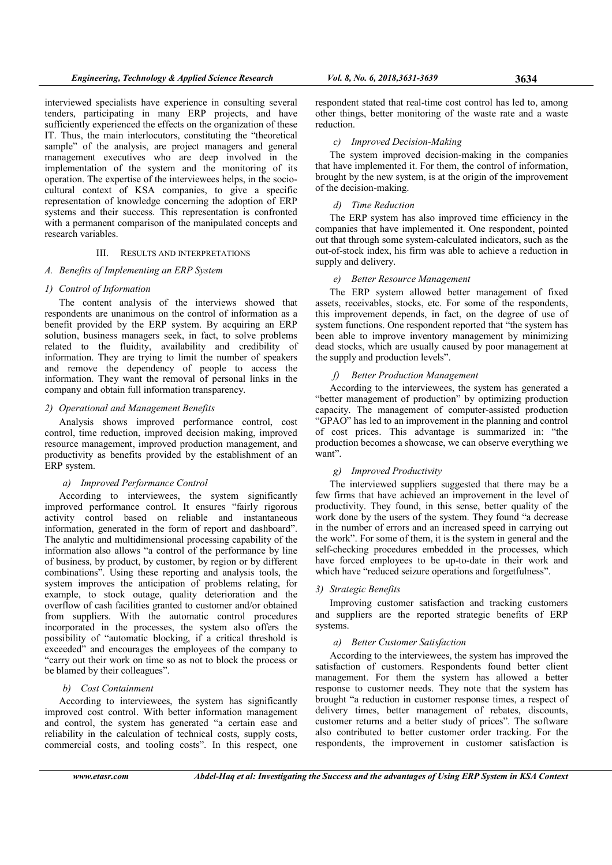interviewed specialists have experience in consulting several tenders, participating in many ERP projects, and have sufficiently experienced the effects on the organization of these IT. Thus, the main interlocutors, constituting the "theoretical sample" of the analysis, are project managers and general management executives who are deep involved in the implementation of the system and the monitoring of its operation. The expertise of the interviewees helps, in the sociocultural context of KSA companies, to give a specific representation of knowledge concerning the adoption of ERP systems and their success. This representation is confronted with a permanent comparison of the manipulated concepts and research variables.

# III. RESULTS AND INTERPRETATIONS

# A. Benefits of Implementing an ERP System

#### 1) Control of Information

The content analysis of the interviews showed that respondents are unanimous on the control of information as a benefit provided by the ERP system. By acquiring an ERP solution, business managers seek, in fact, to solve problems related to the fluidity, availability and credibility of information. They are trying to limit the number of speakers and remove the dependency of people to access the information. They want the removal of personal links in the company and obtain full information transparency.

#### 2) Operational and Management Benefits

Analysis shows improved performance control, cost control, time reduction, improved decision making, improved resource management, improved production management, and productivity as benefits provided by the establishment of an ERP system.

#### a) Improved Performance Control

According to interviewees, the system significantly improved performance control. It ensures "fairly rigorous activity control based on reliable and instantaneous information, generated in the form of report and dashboard". The analytic and multidimensional processing capability of the information also allows "a control of the performance by line of business, by product, by customer, by region or by different combinations". Using these reporting and analysis tools, the system improves the anticipation of problems relating, for example, to stock outage, quality deterioration and the overflow of cash facilities granted to customer and/or obtained from suppliers. With the automatic control procedures incorporated in the processes, the system also offers the possibility of "automatic blocking, if a critical threshold is exceeded" and encourages the employees of the company to "carry out their work on time so as not to block the process or be blamed by their colleagues".

#### b) Cost Containment

According to interviewees, the system has significantly improved cost control. With better information management and control, the system has generated "a certain ease and reliability in the calculation of technical costs, supply costs, commercial costs, and tooling costs". In this respect, one

respondent stated that real-time cost control has led to, among other things, better monitoring of the waste rate and a waste reduction.

## c) Improved Decision-Making

The system improved decision-making in the companies that have implemented it. For them, the control of information, brought by the new system, is at the origin of the improvement of the decision-making.

#### d) Time Reduction

The ERP system has also improved time efficiency in the companies that have implemented it. One respondent, pointed out that through some system-calculated indicators, such as the out-of-stock index, his firm was able to achieve a reduction in supply and delivery.

## e) Better Resource Management

The ERP system allowed better management of fixed assets, receivables, stocks, etc. For some of the respondents, this improvement depends, in fact, on the degree of use of system functions. One respondent reported that "the system has been able to improve inventory management by minimizing dead stocks, which are usually caused by poor management at the supply and production levels".

# f) Better Production Management

According to the interviewees, the system has generated a "better management of production" by optimizing production capacity. The management of computer-assisted production "GPAO" has led to an improvement in the planning and control of cost prices. This advantage is summarized in: "the production becomes a showcase, we can observe everything we want".

#### g) Improved Productivity

The interviewed suppliers suggested that there may be a few firms that have achieved an improvement in the level of productivity. They found, in this sense, better quality of the work done by the users of the system. They found "a decrease in the number of errors and an increased speed in carrying out the work". For some of them, it is the system in general and the self-checking procedures embedded in the processes, which have forced employees to be up-to-date in their work and which have "reduced seizure operations and forgetfulness".

# 3) Strategic Benefits

Improving customer satisfaction and tracking customers and suppliers are the reported strategic benefits of ERP systems.

#### a) Better Customer Satisfaction

According to the interviewees, the system has improved the satisfaction of customers. Respondents found better client management. For them the system has allowed a better response to customer needs. They note that the system has brought "a reduction in customer response times, a respect of delivery times, better management of rebates, discounts, customer returns and a better study of prices". The software also contributed to better customer order tracking. For the respondents, the improvement in customer satisfaction is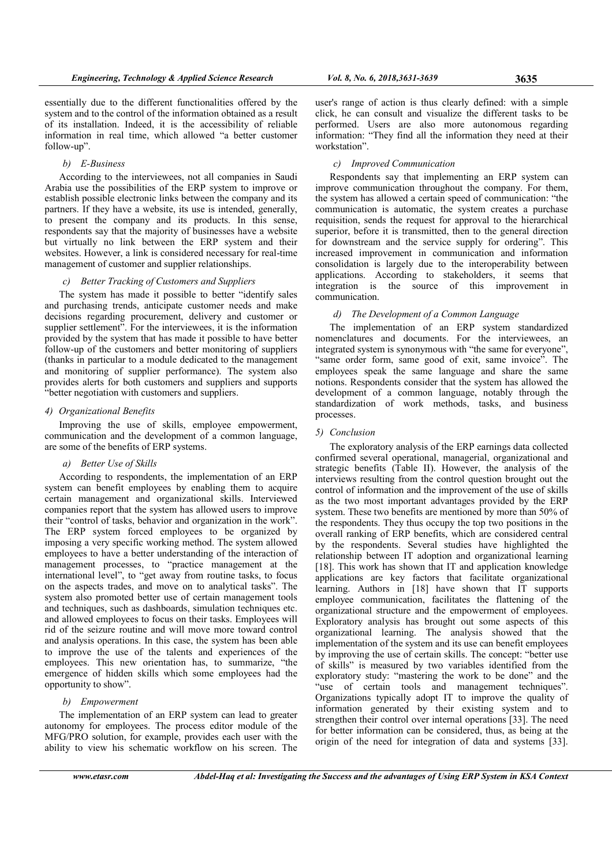essentially due to the different functionalities offered by the system and to the control of the information obtained as a result of its installation. Indeed, it is the accessibility of reliable information in real time, which allowed "a better customer follow-up".

## b) E-Business

According to the interviewees, not all companies in Saudi Arabia use the possibilities of the ERP system to improve or establish possible electronic links between the company and its partners. If they have a website, its use is intended, generally, to present the company and its products. In this sense, respondents say that the majority of businesses have a website but virtually no link between the ERP system and their websites. However, a link is considered necessary for real-time management of customer and supplier relationships.

#### c) Better Tracking of Customers and Suppliers

The system has made it possible to better "identify sales and purchasing trends, anticipate customer needs and make decisions regarding procurement, delivery and customer or supplier settlement". For the interviewees, it is the information provided by the system that has made it possible to have better follow-up of the customers and better monitoring of suppliers (thanks in particular to a module dedicated to the management and monitoring of supplier performance). The system also provides alerts for both customers and suppliers and supports "better negotiation with customers and suppliers.

## 4) Organizational Benefits

Improving the use of skills, employee empowerment, communication and the development of a common language, are some of the benefits of ERP systems.

#### a) Better Use of Skills

According to respondents, the implementation of an ERP system can benefit employees by enabling them to acquire certain management and organizational skills. Interviewed companies report that the system has allowed users to improve their "control of tasks, behavior and organization in the work". The ERP system forced employees to be organized by imposing a very specific working method. The system allowed employees to have a better understanding of the interaction of management processes, to "practice management at the international level", to "get away from routine tasks, to focus on the aspects trades, and move on to analytical tasks". The system also promoted better use of certain management tools and techniques, such as dashboards, simulation techniques etc. and allowed employees to focus on their tasks. Employees will rid of the seizure routine and will move more toward control and analysis operations. In this case, the system has been able to improve the use of the talents and experiences of the employees. This new orientation has, to summarize, "the emergence of hidden skills which some employees had the opportunity to show".

# b) Empowerment

The implementation of an ERP system can lead to greater autonomy for employees. The process editor module of the MFG/PRO solution, for example, provides each user with the ability to view his schematic workflow on his screen. The

user's range of action is thus clearly defined: with a simple click, he can consult and visualize the different tasks to be performed. Users are also more autonomous regarding information: "They find all the information they need at their workstation".

## c) Improved Communication

Respondents say that implementing an ERP system can improve communication throughout the company. For them, the system has allowed a certain speed of communication: "the communication is automatic, the system creates a purchase requisition, sends the request for approval to the hierarchical superior, before it is transmitted, then to the general direction for downstream and the service supply for ordering". This increased improvement in communication and information consolidation is largely due to the interoperability between applications. According to stakeholders, it seems that integration is the source of this improvement in communication.

# d) The Development of a Common Language

The implementation of an ERP system standardized nomenclatures and documents. For the interviewees, an integrated system is synonymous with "the same for everyone", "same order form, same good of exit, same invoice". The employees speak the same language and share the same notions. Respondents consider that the system has allowed the development of a common language, notably through the standardization of work methods, tasks, and business processes.

#### 5) Conclusion

The exploratory analysis of the ERP earnings data collected confirmed several operational, managerial, organizational and strategic benefits (Table II). However, the analysis of the interviews resulting from the control question brought out the control of information and the improvement of the use of skills as the two most important advantages provided by the ERP system. These two benefits are mentioned by more than 50% of the respondents. They thus occupy the top two positions in the overall ranking of ERP benefits, which are considered central by the respondents. Several studies have highlighted the relationship between IT adoption and organizational learning [18]. This work has shown that IT and application knowledge applications are key factors that facilitate organizational learning. Authors in [18] have shown that IT supports employee communication, facilitates the flattening of the organizational structure and the empowerment of employees. Exploratory analysis has brought out some aspects of this organizational learning. The analysis showed that the implementation of the system and its use can benefit employees by improving the use of certain skills. The concept: "better use of skills" is measured by two variables identified from the exploratory study: "mastering the work to be done" and the "use of certain tools and management techniques". Organizations typically adopt IT to improve the quality of information generated by their existing system and to strengthen their control over internal operations [33]. The need for better information can be considered, thus, as being at the origin of the need for integration of data and systems [33].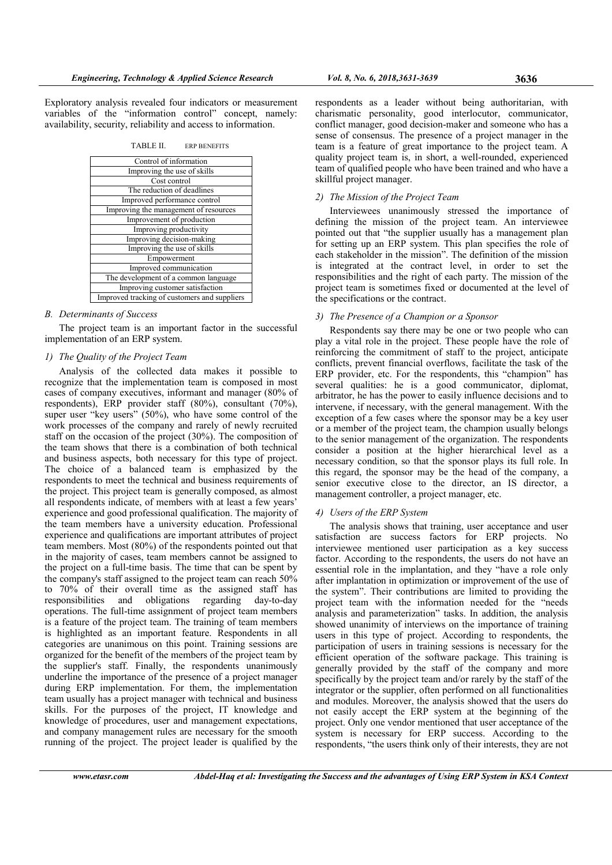Exploratory analysis revealed four indicators or measurement variables of the "information control" concept, namely: availability, security, reliability and access to information.

TABLE II. ERP BENEFITS

| Control of information                       |
|----------------------------------------------|
| Improving the use of skills                  |
| Cost control                                 |
| The reduction of deadlines                   |
| Improved performance control                 |
| Improving the management of resources        |
| Improvement of production                    |
| Improving productivity                       |
| Improving decision-making                    |
| Improving the use of skills                  |
| Empowerment                                  |
| Improved communication                       |
| The development of a common language         |
| Improving customer satisfaction              |
| Improved tracking of customers and suppliers |

# B. Determinants of Success

The project team is an important factor in the successful implementation of an ERP system.

# 1) The Quality of the Project Team

Analysis of the collected data makes it possible to recognize that the implementation team is composed in most cases of company executives, informant and manager (80% of respondents), ERP provider staff (80%), consultant (70%), super user "key users" (50%), who have some control of the work processes of the company and rarely of newly recruited staff on the occasion of the project (30%). The composition of the team shows that there is a combination of both technical and business aspects, both necessary for this type of project. The choice of a balanced team is emphasized by the respondents to meet the technical and business requirements of the project. This project team is generally composed, as almost all respondents indicate, of members with at least a few years' experience and good professional qualification. The majority of the team members have a university education. Professional experience and qualifications are important attributes of project team members. Most (80%) of the respondents pointed out that in the majority of cases, team members cannot be assigned to the project on a full-time basis. The time that can be spent by the company's staff assigned to the project team can reach 50% to 70% of their overall time as the assigned staff has responsibilities and obligations regarding day-to-day operations. The full-time assignment of project team members is a feature of the project team. The training of team members is highlighted as an important feature. Respondents in all categories are unanimous on this point. Training sessions are organized for the benefit of the members of the project team by the supplier's staff. Finally, the respondents unanimously underline the importance of the presence of a project manager during ERP implementation. For them, the implementation team usually has a project manager with technical and business skills. For the purposes of the project, IT knowledge and knowledge of procedures, user and management expectations, and company management rules are necessary for the smooth running of the project. The project leader is qualified by the

respondents as a leader without being authoritarian, with charismatic personality, good interlocutor, communicator, conflict manager, good decision-maker and someone who has a sense of consensus. The presence of a project manager in the team is a feature of great importance to the project team. A quality project team is, in short, a well-rounded, experienced team of qualified people who have been trained and who have a skillful project manager.

# 2) The Mission of the Project Team

Interviewees unanimously stressed the importance of defining the mission of the project team. An interviewee pointed out that "the supplier usually has a management plan for setting up an ERP system. This plan specifies the role of each stakeholder in the mission". The definition of the mission is integrated at the contract level, in order to set the responsibilities and the right of each party. The mission of the project team is sometimes fixed or documented at the level of the specifications or the contract.

#### 3) The Presence of a Champion or a Sponsor

Respondents say there may be one or two people who can play a vital role in the project. These people have the role of reinforcing the commitment of staff to the project, anticipate conflicts, prevent financial overflows, facilitate the task of the ERP provider, etc. For the respondents, this "champion" has several qualities: he is a good communicator, diplomat, arbitrator, he has the power to easily influence decisions and to intervene, if necessary, with the general management. With the exception of a few cases where the sponsor may be a key user or a member of the project team, the champion usually belongs to the senior management of the organization. The respondents consider a position at the higher hierarchical level as a necessary condition, so that the sponsor plays its full role. In this regard, the sponsor may be the head of the company, a senior executive close to the director, an IS director, a management controller, a project manager, etc.

# 4) Users of the ERP System

The analysis shows that training, user acceptance and user satisfaction are success factors for ERP projects. No interviewee mentioned user participation as a key success factor. According to the respondents, the users do not have an essential role in the implantation, and they "have a role only after implantation in optimization or improvement of the use of the system". Their contributions are limited to providing the project team with the information needed for the "needs analysis and parameterization" tasks. In addition, the analysis showed unanimity of interviews on the importance of training users in this type of project. According to respondents, the participation of users in training sessions is necessary for the efficient operation of the software package. This training is generally provided by the staff of the company and more specifically by the project team and/or rarely by the staff of the integrator or the supplier, often performed on all functionalities and modules. Moreover, the analysis showed that the users do not easily accept the ERP system at the beginning of the project. Only one vendor mentioned that user acceptance of the system is necessary for ERP success. According to the respondents, "the users think only of their interests, they are not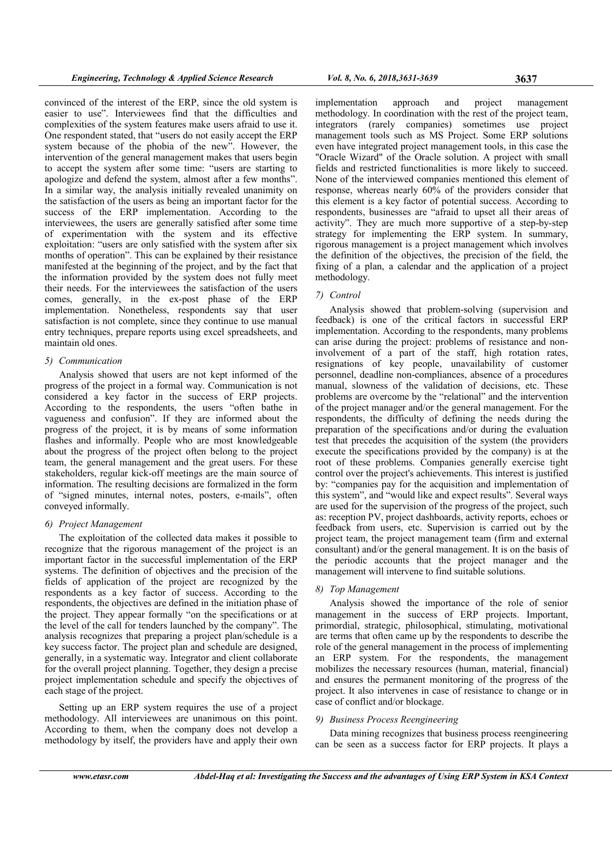convinced of the interest of the ERP, since the old system is easier to use". Interviewees find that the difficulties and complexities of the system features make users afraid to use it. One respondent stated, that "users do not easily accept the ERP system because of the phobia of the new". However, the intervention of the general management makes that users begin to accept the system after some time: "users are starting to apologize and defend the system, almost after a few months". In a similar way, the analysis initially revealed unanimity on the satisfaction of the users as being an important factor for the success of the ERP implementation. According to the interviewees, the users are generally satisfied after some time of experimentation with the system and its effective exploitation: "users are only satisfied with the system after six months of operation". This can be explained by their resistance manifested at the beginning of the project, and by the fact that the information provided by the system does not fully meet their needs. For the interviewees the satisfaction of the users comes, generally, in the ex-post phase of the ERP implementation. Nonetheless, respondents say that user satisfaction is not complete, since they continue to use manual entry techniques, prepare reports using excel spreadsheets, and maintain old ones.

#### 5) Communication

Analysis showed that users are not kept informed of the progress of the project in a formal way. Communication is not considered a key factor in the success of ERP projects. According to the respondents, the users "often bathe in vagueness and confusion". If they are informed about the progress of the project, it is by means of some information flashes and informally. People who are most knowledgeable about the progress of the project often belong to the project team, the general management and the great users. For these stakeholders, regular kick-off meetings are the main source of information. The resulting decisions are formalized in the form of "signed minutes, internal notes, posters, e-mails", often conveyed informally.

# 6) Project Management

The exploitation of the collected data makes it possible to recognize that the rigorous management of the project is an important factor in the successful implementation of the ERP systems. The definition of objectives and the precision of the fields of application of the project are recognized by the respondents as a key factor of success. According to the respondents, the objectives are defined in the initiation phase of the project. They appear formally "on the specifications or at the level of the call for tenders launched by the company". The analysis recognizes that preparing a project plan/schedule is a key success factor. The project plan and schedule are designed, generally, in a systematic way. Integrator and client collaborate for the overall project planning. Together, they design a precise project implementation schedule and specify the objectives of each stage of the project.

Setting up an ERP system requires the use of a project methodology. All interviewees are unanimous on this point. According to them, when the company does not develop a methodology by itself, the providers have and apply their own

implementation approach and project management methodology. In coordination with the rest of the project team, integrators (rarely companies) sometimes use project management tools such as MS Project. Some ERP solutions even have integrated project management tools, in this case the "Oracle Wizard" of the Oracle solution. A project with small fields and restricted functionalities is more likely to succeed. None of the interviewed companies mentioned this element of response, whereas nearly  $60\%$  of the providers consider that this element is a key factor of potential success. According to respondents, businesses are "afraid to upset all their areas of activity". They are much more supportive of a step-by-step strategy for implementing the ERP system. In summary, rigorous management is a project management which involves the definition of the objectives, the precision of the field, the fixing of a plan, a calendar and the application of a project methodology.

# 7) Control

Analysis showed that problem-solving (supervision and feedback) is one of the critical factors in successful ERP implementation. According to the respondents, many problems can arise during the project: problems of resistance and noninvolvement of a part of the staff, high rotation rates, resignations of key people, unavailability of customer personnel, deadline non-compliances, absence of a procedures manual, slowness of the validation of decisions, etc. These problems are overcome by the "relational" and the intervention of the project manager and/or the general management. For the respondents, the difficulty of defining the needs during the preparation of the specifications and/or during the evaluation test that precedes the acquisition of the system (the providers execute the specifications provided by the company) is at the root of these problems. Companies generally exercise tight control over the project's achievements. This interest is justified by: "companies pay for the acquisition and implementation of this system", and "would like and expect results". Several ways are used for the supervision of the progress of the project, such as: reception PV, project dashboards, activity reports, echoes or feedback from users, etc. Supervision is carried out by the project team, the project management team (firm and external consultant) and/or the general management. It is on the basis of the periodic accounts that the project manager and the management will intervene to find suitable solutions.

# 8) Top Management

Analysis showed the importance of the role of senior management in the success of ERP projects. Important, primordial, strategic, philosophical, stimulating, motivational are terms that often came up by the respondents to describe the role of the general management in the process of implementing an ERP system. For the respondents, the management mobilizes the necessary resources (human, material, financial) and ensures the permanent monitoring of the progress of the project. It also intervenes in case of resistance to change or in case of conflict and/or blockage.

#### 9) Business Process Reengineering

Data mining recognizes that business process reengineering can be seen as a success factor for ERP projects. It plays a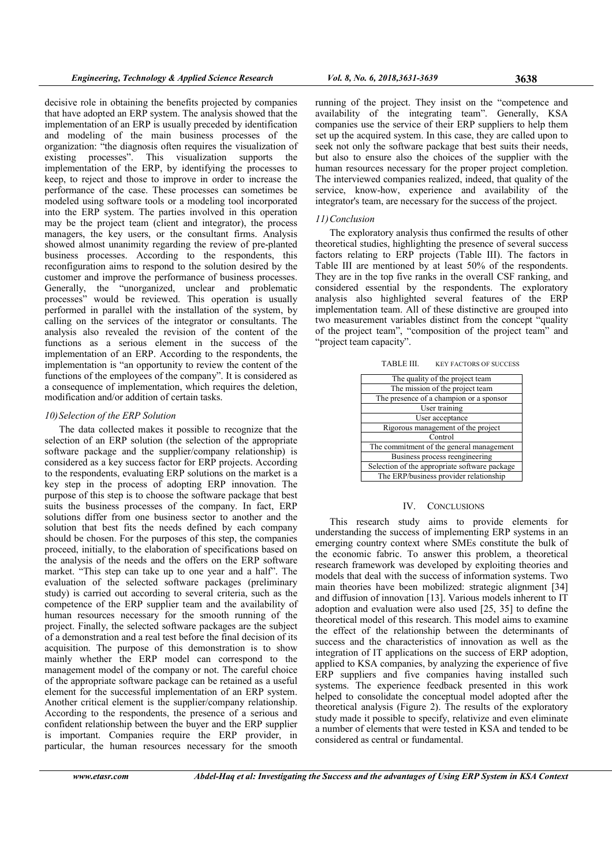decisive role in obtaining the benefits projected by companies that have adopted an ERP system. The analysis showed that the implementation of an ERP is usually preceded by identification and modeling of the main business processes of the organization: "the diagnosis often requires the visualization of existing processes". This visualization supports the implementation of the ERP, by identifying the processes to keep, to reject and those to improve in order to increase the performance of the case. These processes can sometimes be modeled using software tools or a modeling tool incorporated into the ERP system. The parties involved in this operation may be the project team (client and integrator), the process managers, the key users, or the consultant firms. Analysis showed almost unanimity regarding the review of pre-planted business processes. According to the respondents, this reconfiguration aims to respond to the solution desired by the customer and improve the performance of business processes. Generally, the "unorganized, unclear and problematic processes" would be reviewed. This operation is usually performed in parallel with the installation of the system, by calling on the services of the integrator or consultants. The analysis also revealed the revision of the content of the functions as a serious element in the success of the implementation of an ERP. According to the respondents, the implementation is "an opportunity to review the content of the functions of the employees of the company". It is considered as a consequence of implementation, which requires the deletion, modification and/or addition of certain tasks.

# 10)Selection of the ERP Solution

The data collected makes it possible to recognize that the selection of an ERP solution (the selection of the appropriate software package and the supplier/company relationship) is considered as a key success factor for ERP projects. According to the respondents, evaluating ERP solutions on the market is a key step in the process of adopting ERP innovation. The purpose of this step is to choose the software package that best suits the business processes of the company. In fact, ERP solutions differ from one business sector to another and the solution that best fits the needs defined by each company should be chosen. For the purposes of this step, the companies proceed, initially, to the elaboration of specifications based on the analysis of the needs and the offers on the ERP software market. "This step can take up to one year and a half". The evaluation of the selected software packages (preliminary study) is carried out according to several criteria, such as the competence of the ERP supplier team and the availability of human resources necessary for the smooth running of the project. Finally, the selected software packages are the subject of a demonstration and a real test before the final decision of its acquisition. The purpose of this demonstration is to show mainly whether the ERP model can correspond to the management model of the company or not. The careful choice of the appropriate software package can be retained as a useful element for the successful implementation of an ERP system. Another critical element is the supplier/company relationship. According to the respondents, the presence of a serious and confident relationship between the buyer and the ERP supplier is important. Companies require the ERP provider, in particular, the human resources necessary for the smooth

running of the project. They insist on the "competence and availability of the integrating team". Generally, KSA companies use the service of their ERP suppliers to help them set up the acquired system. In this case, they are called upon to seek not only the software package that best suits their needs, but also to ensure also the choices of the supplier with the human resources necessary for the proper project completion. The interviewed companies realized, indeed, that quality of the service, know-how, experience and availability of the integrator's team, are necessary for the success of the project.

## 11)Conclusion

The exploratory analysis thus confirmed the results of other theoretical studies, highlighting the presence of several success factors relating to ERP projects (Table III). The factors in Table III are mentioned by at least 50% of the respondents. They are in the top five ranks in the overall CSF ranking, and considered essential by the respondents. The exploratory analysis also highlighted several features of the ERP implementation team. All of these distinctive are grouped into two measurement variables distinct from the concept "quality of the project team", "composition of the project team" and "project team capacity".

TABLE III. KEY FACTORS OF SUCCESS

| The quality of the project team               |
|-----------------------------------------------|
| The mission of the project team               |
| The presence of a champion or a sponsor       |
| User training                                 |
| User acceptance                               |
| Rigorous management of the project            |
| Control                                       |
| The commitment of the general management      |
| Business process reengineering                |
| Selection of the appropriate software package |
| The ERP/business provider relationship        |

#### IV. CONCLUSIONS

This research study aims to provide elements for understanding the success of implementing ERP systems in an emerging country context where SMEs constitute the bulk of the economic fabric. To answer this problem, a theoretical research framework was developed by exploiting theories and models that deal with the success of information systems. Two main theories have been mobilized: strategic alignment [34] and diffusion of innovation [13]. Various models inherent to IT adoption and evaluation were also used [25, 35] to define the theoretical model of this research. This model aims to examine the effect of the relationship between the determinants of success and the characteristics of innovation as well as the integration of IT applications on the success of ERP adoption, applied to KSA companies, by analyzing the experience of five ERP suppliers and five companies having installed such systems. The experience feedback presented in this work helped to consolidate the conceptual model adopted after the theoretical analysis (Figure 2). The results of the exploratory study made it possible to specify, relativize and even eliminate a number of elements that were tested in KSA and tended to be considered as central or fundamental.